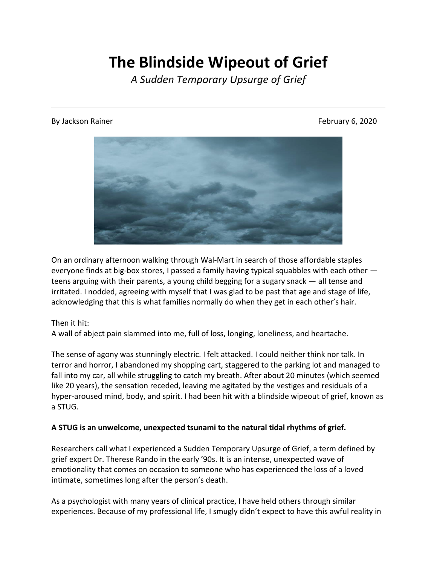# **The Blindside Wipeout of Grief**

*A Sudden Temporary Upsurge of Grief*

#### By Jackson Rainer February 6, 2020



On an ordinary afternoon walking through Wal-Mart in search of those affordable staples everyone finds at big-box stores, I passed a family having typical squabbles with each other teens arguing with their parents, a young child begging for a sugary snack — all tense and irritated. I nodded, agreeing with myself that I was glad to be past that age and stage of life, acknowledging that this is what families normally do when they get in each other's hair.

### Then it hit:

A wall of abject pain slammed into me, full of loss, longing, loneliness, and heartache.

The sense of agony was stunningly electric. I felt attacked. I could neither think nor talk. In terror and horror, I abandoned my shopping cart, staggered to the parking lot and managed to fall into my car, all while struggling to catch my breath. After about 20 minutes (which seemed like 20 years), the sensation receded, leaving me agitated by the vestiges and residuals of a hyper-aroused mind, body, and spirit. I had been hit with a blindside wipeout of grief, known as a STUG.

### **A STUG is an unwelcome, unexpected tsunami to the natural tidal rhythms of grief.**

Researchers call what I experienced a Sudden Temporary Upsurge of Grief, a term defined by grief expert Dr. Therese Rando in the early '90s. It is an intense, unexpected wave of emotionality that comes on occasion to someone who has experienced the loss of a loved intimate, sometimes long after the person's death.

As a psychologist with many years of clinical practice, I have held others through similar experiences. Because of my professional life, I smugly didn't expect to have this awful reality in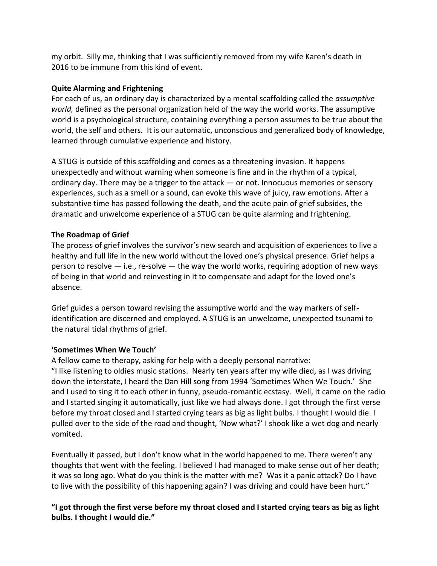my orbit. Silly me, thinking that I was sufficiently removed from my wife Karen's death in 2016 to be immune from this kind of event.

# **Quite Alarming and Frightening**

For each of us, an ordinary day is characterized by a mental scaffolding called the *assumptive world,* defined as the personal organization held of the way the world works. The assumptive world is a psychological structure, containing everything a person assumes to be true about the world, the self and others. It is our automatic, unconscious and generalized body of knowledge, learned through cumulative experience and history.

A STUG is outside of this scaffolding and comes as a threatening invasion. It happens unexpectedly and without warning when someone is fine and in the rhythm of a typical, ordinary day. There may be a trigger to the attack — or not. Innocuous memories or sensory experiences, such as a smell or a sound, can evoke this wave of juicy, raw emotions. After a substantive time has passed following the death, and the acute pain of grief subsides, the dramatic and unwelcome experience of a STUG can be quite alarming and frightening.

## **The Roadmap of Grief**

The process of grief involves the survivor's new search and acquisition of experiences to live a healthy and full life in the new world without the loved one's physical presence. Grief helps a person to resolve  $-$  i.e., re-solve  $-$  the way the world works, requiring adoption of new ways of being in that world and reinvesting in it to compensate and adapt for the loved one's absence.

Grief guides a person toward revising the assumptive world and the way markers of selfidentification are discerned and employed. A STUG is an unwelcome, unexpected tsunami to the natural tidal rhythms of grief.

### **'Sometimes When We Touch'**

A fellow came to therapy, asking for help with a deeply personal narrative: "I like listening to oldies music stations. Nearly ten years after my wife died, as I was driving down the interstate, I heard the Dan Hill song from 1994 'Sometimes When We Touch.' She and I used to sing it to each other in funny, pseudo-romantic ecstasy. Well, it came on the radio and I started singing it automatically, just like we had always done. I got through the first verse before my throat closed and I started crying tears as big as light bulbs. I thought I would die. I pulled over to the side of the road and thought, 'Now what?' I shook like a wet dog and nearly vomited.

Eventually it passed, but I don't know what in the world happened to me. There weren't any thoughts that went with the feeling. I believed I had managed to make sense out of her death; it was so long ago. What do you think is the matter with me? Was it a panic attack? Do I have to live with the possibility of this happening again? I was driving and could have been hurt."

**"I got through the first verse before my throat closed and I started crying tears as big as light bulbs. I thought I would die."**